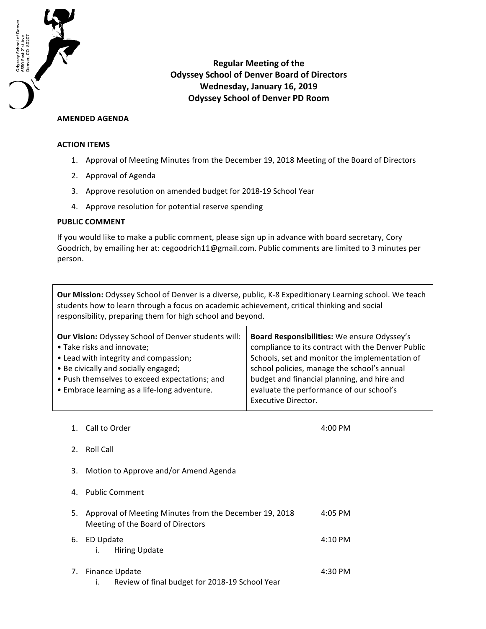

**Regular Meeting of the Odyssey School of Denver Board of Directors** Wednesday, January 16, 2019 **Odyssey School of Denver PD Room**

## **AMENDED AGENDA**

## **ACTION ITEMS**

- 1. Approval of Meeting Minutes from the December 19, 2018 Meeting of the Board of Directors
- 2. Approval of Agenda
- 3. Approve resolution on amended budget for 2018-19 School Year
- 4. Approve resolution for potential reserve spending

## **PUBLIC COMMENT**

If you would like to make a public comment, please sign up in advance with board secretary, Cory Goodrich, by emailing her at: cegoodrich11@gmail.com. Public comments are limited to 3 minutes per person.

**Our Mission:** Odyssey School of Denver is a diverse, public, K-8 Expeditionary Learning school. We teach students how to learn through a focus on academic achievement, critical thinking and social responsibility, preparing them for high school and beyond.

| <b>Our Vision: Odyssey School of Denver students will:</b> | Board Responsibilities: We ensure Odyssey's       |
|------------------------------------------------------------|---------------------------------------------------|
| • Take risks and innovate;                                 | compliance to its contract with the Denver Public |
| • Lead with integrity and compassion;                      | Schools, set and monitor the implementation of    |
| • Be civically and socially engaged;                       | school policies, manage the school's annual       |
| • Push themselves to exceed expectations; and              | budget and financial planning, and hire and       |
| • Embrace learning as a life-long adventure.               | evaluate the performance of our school's          |
|                                                            | Executive Director.                               |
|                                                            |                                                   |

1. Call to Order 1. The contract of the contract of the contract of the contract of the contract of the contract of the contract of the contract of the contract of the contract of the contract of the contract of the contra

- 2. Roll Call
- 3. Motion to Approve and/or Amend Agenda
- 4. Public Comment

| 5. Approval of Meeting Minutes from the December 19, 2018<br>Meeting of the Board of Directors | $4:05$ PM |
|------------------------------------------------------------------------------------------------|-----------|
| 6. ED Update<br>i. Hiring Update                                                               | $4:10$ PM |
| 7. Finance Update                                                                              | 4:30 PM   |

i. Review of final budget for 2018-19 School Year